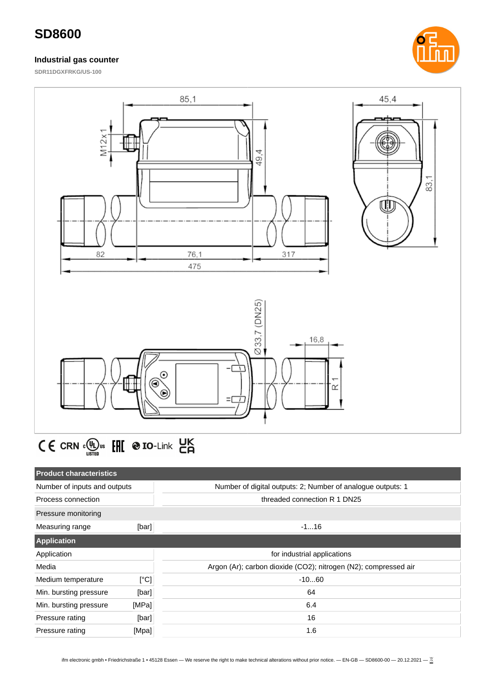#### **Industrial gas counter**





$$
\textbf{C} \in \text{crn} \cdot \underset{\text{using}}{\text{C}} \text{tr} \cdot \underset{\text{H}}{\text{H}} \text{tr} \cdot \text{tr} \cdot \underset{\text{C}}{\text{H}} \cdot \text{tr} \cdot \underset{\text{C}}{\text{H}}
$$

| <b>Product characteristics</b> |       |                                                                 |
|--------------------------------|-------|-----------------------------------------------------------------|
| Number of inputs and outputs   |       | Number of digital outputs: 2; Number of analogue outputs: 1     |
| Process connection             |       | threaded connection R 1 DN25                                    |
| Pressure monitoring            |       |                                                                 |
| Measuring range                | [bar] | $-116$                                                          |
| <b>Application</b>             |       |                                                                 |
| Application                    |       | for industrial applications                                     |
| Media                          |       | Argon (Ar); carbon dioxide (CO2); nitrogen (N2); compressed air |
| Medium temperature             | [°C]  | $-1060$                                                         |
| Min. bursting pressure         | [bar] | 64                                                              |
| Min. bursting pressure         | [MPa] | 6.4                                                             |
| Pressure rating                | [bar] | 16                                                              |
| Pressure rating                | [Mpa] | 1.6                                                             |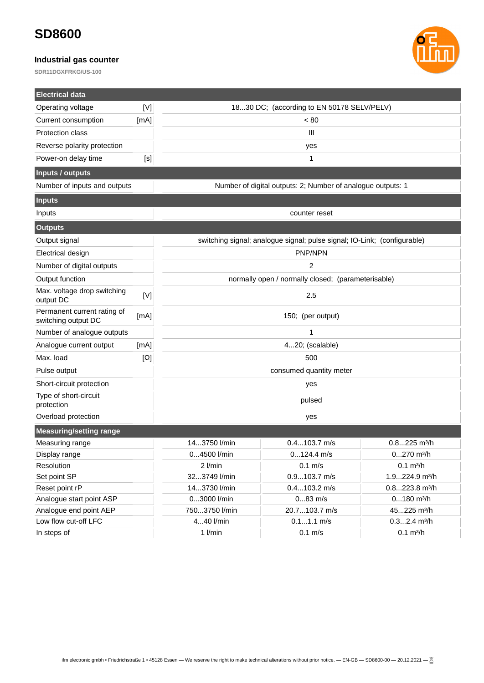### **Industrial gas counter**



| <b>Electrical data</b>                             |                                                                          |                                                                |                                                             |                            |  |
|----------------------------------------------------|--------------------------------------------------------------------------|----------------------------------------------------------------|-------------------------------------------------------------|----------------------------|--|
| Operating voltage                                  | [V]                                                                      | 1830 DC; (according to EN 50178 SELV/PELV)                     |                                                             |                            |  |
| Current consumption                                | [mA]                                                                     | ${}_{< 80}$                                                    |                                                             |                            |  |
| Protection class                                   |                                                                          | $\mathbf{III}$                                                 |                                                             |                            |  |
| Reverse polarity protection                        |                                                                          | yes                                                            |                                                             |                            |  |
| Power-on delay time                                | [s]                                                                      | 1                                                              |                                                             |                            |  |
| <b>Inputs / outputs</b>                            |                                                                          |                                                                |                                                             |                            |  |
| Number of inputs and outputs                       |                                                                          |                                                                | Number of digital outputs: 2; Number of analogue outputs: 1 |                            |  |
| <b>Inputs</b>                                      |                                                                          |                                                                |                                                             |                            |  |
| Inputs                                             |                                                                          | counter reset                                                  |                                                             |                            |  |
| <b>Outputs</b>                                     |                                                                          |                                                                |                                                             |                            |  |
| Output signal                                      | switching signal; analogue signal; pulse signal; IO-Link; (configurable) |                                                                |                                                             |                            |  |
| Electrical design                                  |                                                                          | PNP/NPN                                                        |                                                             |                            |  |
| Number of digital outputs                          |                                                                          | $\overline{2}$                                                 |                                                             |                            |  |
| Output function                                    |                                                                          |                                                                | normally open / normally closed; (parameterisable)          |                            |  |
| Max. voltage drop switching<br>output DC           | [V]                                                                      | 2.5                                                            |                                                             |                            |  |
| Permanent current rating of<br>switching output DC | [mA]                                                                     | 150; (per output)                                              |                                                             |                            |  |
| Number of analogue outputs                         |                                                                          | $\mathbf{1}$                                                   |                                                             |                            |  |
| Analogue current output                            | [mA]                                                                     | 420; (scalable)                                                |                                                             |                            |  |
| Max. load                                          | $[\Omega]$                                                               | 500                                                            |                                                             |                            |  |
| Pulse output                                       |                                                                          | consumed quantity meter                                        |                                                             |                            |  |
| Short-circuit protection                           |                                                                          | yes                                                            |                                                             |                            |  |
| Type of short-circuit<br>protection                |                                                                          | pulsed                                                         |                                                             |                            |  |
| Overload protection                                |                                                                          | yes                                                            |                                                             |                            |  |
| <b>Measuring/setting range</b>                     |                                                                          |                                                                |                                                             |                            |  |
| Measuring range                                    |                                                                          | 143750 l/min                                                   | $0.4103.7$ m/s                                              | $0.8225$ m <sup>3</sup> /h |  |
| 04500 l/min<br>Display range                       |                                                                          |                                                                | $0124.4$ m/s                                                | 0270 m <sup>3</sup> /h     |  |
| Resolution                                         |                                                                          | 2 l/min<br>$0.1$ m/s<br>$0.1 \text{ m}^3/h$                    |                                                             |                            |  |
| Set point SP                                       |                                                                          | $0.9103.7$ m/s<br>323749 l/min<br>1.9224.9 m <sup>3</sup> /h   |                                                             |                            |  |
| Reset point rP                                     |                                                                          | 143730 l/min<br>$0.4103.2$ m/s<br>$0.8223.8$ m <sup>3</sup> /h |                                                             |                            |  |
| Analogue start point ASP                           |                                                                          | 03000 l/min<br>$083$ m/s<br>$0180$ m <sup>3</sup> /h           |                                                             |                            |  |
| Analogue end point AEP                             |                                                                          | 7503750 l/min<br>45225 m <sup>3</sup> /h<br>20.7103.7 m/s      |                                                             |                            |  |
| Low flow cut-off LFC                               |                                                                          | 440 l/min<br>$0.11.1$ m/s<br>$0.32.4$ m <sup>3</sup> /h        |                                                             |                            |  |
| In steps of                                        |                                                                          | $1$ l/min<br>$0.1$ m/s<br>$0.1 \text{ m}^3/h$                  |                                                             |                            |  |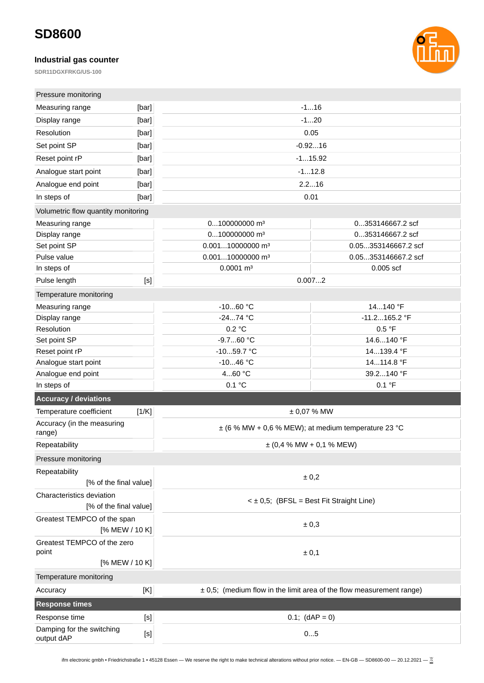### **Industrial gas counter**



| Pressure monitoring                                 |       |                                                         |                                                                          |  |
|-----------------------------------------------------|-------|---------------------------------------------------------|--------------------------------------------------------------------------|--|
| Measuring range                                     | [bar] |                                                         | $-116$                                                                   |  |
| Display range                                       | [bar] | $-120$                                                  |                                                                          |  |
| Resolution                                          | [bar] |                                                         | 0.05                                                                     |  |
| Set point SP                                        | [bar] |                                                         | $-0.9216$                                                                |  |
| Reset point rP                                      | [bar] |                                                         | $-115.92$                                                                |  |
| Analogue start point                                | [bar] | $-112.8$                                                |                                                                          |  |
| Analogue end point                                  | [bar] |                                                         | 2.216                                                                    |  |
| In steps of                                         | [bar] | 0.01                                                    |                                                                          |  |
| Volumetric flow quantity monitoring                 |       |                                                         |                                                                          |  |
| Measuring range                                     |       | 0100000000 m <sup>3</sup>                               | 0353146667.2 scf                                                         |  |
| Display range                                       |       | 0100000000 m <sup>3</sup>                               | 0353146667.2 scf                                                         |  |
| Set point SP                                        |       | 0.00110000000 m <sup>3</sup>                            | 0.05353146667.2 scf                                                      |  |
| Pulse value                                         |       | 0.00110000000 m <sup>3</sup>                            | 0.05353146667.2 scf                                                      |  |
| In steps of                                         |       | $0.0001$ m <sup>3</sup>                                 | $0.005$ scf                                                              |  |
| Pulse length                                        | $[<]$ |                                                         | 0.0072                                                                   |  |
| Temperature monitoring                              |       |                                                         |                                                                          |  |
| Measuring range                                     |       | $-1060$ °C                                              | 14140 °F                                                                 |  |
| Display range                                       |       | $-2474$ °C                                              | $-11.2165.2$ °F                                                          |  |
| Resolution                                          |       | 0.2 °C                                                  | 0.5 °F                                                                   |  |
| Set point SP                                        |       | -9.760 °C                                               | 14.6140 °F                                                               |  |
| Reset point rP                                      |       | $-1059.7 °C$                                            | 14139.4 °F                                                               |  |
| Analogue start point                                |       | $-1046$ °C                                              | 14114.8 °F                                                               |  |
| Analogue end point                                  |       | 460 °C                                                  | 39.2140 °F                                                               |  |
| In steps of                                         |       | 0.1 °C                                                  | 0.1 °F                                                                   |  |
| <b>Accuracy / deviations</b>                        |       |                                                         |                                                                          |  |
| Temperature coefficient                             | [1/K] |                                                         | ± 0,07 % MW                                                              |  |
| Accuracy (in the measuring<br>range)                |       | $\pm$ (6 % MW + 0,6 % MEW); at medium temperature 23 °C |                                                                          |  |
| Repeatability                                       |       | $\pm$ (0,4 % MW + 0,1 % MEW)                            |                                                                          |  |
| Pressure monitoring                                 |       |                                                         |                                                                          |  |
| Repeatability<br>[% of the final value]             |       |                                                         | ± 0,2                                                                    |  |
| Characteristics deviation<br>[% of the final value] |       |                                                         | $\leq \pm 0.5$ ; (BFSL = Best Fit Straight Line)                         |  |
| Greatest TEMPCO of the span<br>[% MEW / 10 K]       |       |                                                         | ± 0,3                                                                    |  |
| Greatest TEMPCO of the zero<br>point                |       |                                                         | ± 0,1                                                                    |  |
| [% MEW / 10 K]                                      |       |                                                         |                                                                          |  |
| Temperature monitoring                              |       |                                                         |                                                                          |  |
| Accuracy                                            | [K]   |                                                         | $\pm$ 0,5; (medium flow in the limit area of the flow measurement range) |  |
| <b>Response times</b>                               |       |                                                         |                                                                          |  |
| Response time                                       | [S]   |                                                         | $0.1;$ (dAP = 0)                                                         |  |
| Damping for the switching                           |       |                                                         |                                                                          |  |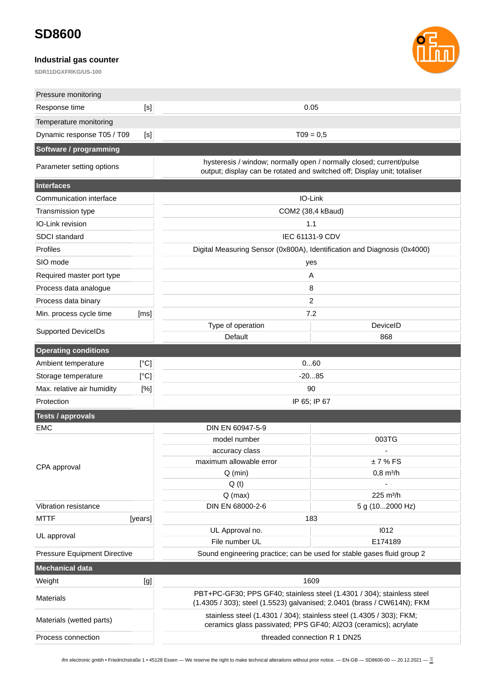### **Industrial gas counter**



| Pressure monitoring          |         |                                                                                                                                                   |                       |  |
|------------------------------|---------|---------------------------------------------------------------------------------------------------------------------------------------------------|-----------------------|--|
| Response time                | $[<]$   | 0.05                                                                                                                                              |                       |  |
| Temperature monitoring       |         |                                                                                                                                                   |                       |  |
| Dynamic response T05 / T09   | [S]     | $TO9 = 0,5$                                                                                                                                       |                       |  |
| Software / programming       |         |                                                                                                                                                   |                       |  |
| Parameter setting options    |         | hysteresis / window; normally open / normally closed; current/pulse<br>output; display can be rotated and switched off; Display unit; totaliser   |                       |  |
| <b>Interfaces</b>            |         |                                                                                                                                                   |                       |  |
| Communication interface      |         | IO-Link                                                                                                                                           |                       |  |
| Transmission type            |         | COM2 (38,4 kBaud)                                                                                                                                 |                       |  |
| IO-Link revision             |         | 1.1                                                                                                                                               |                       |  |
| <b>SDCI</b> standard         |         | IEC 61131-9 CDV                                                                                                                                   |                       |  |
| Profiles                     |         | Digital Measuring Sensor (0x800A), Identification and Diagnosis (0x4000)                                                                          |                       |  |
| SIO mode                     |         | yes                                                                                                                                               |                       |  |
| Required master port type    |         | Α                                                                                                                                                 |                       |  |
| Process data analogue        |         | 8                                                                                                                                                 |                       |  |
| Process data binary          |         | $\overline{2}$                                                                                                                                    |                       |  |
| Min. process cycle time      | [ms]    | 7.2                                                                                                                                               |                       |  |
| <b>Supported DeviceIDs</b>   |         | Type of operation                                                                                                                                 | DeviceID              |  |
|                              |         | Default                                                                                                                                           | 868                   |  |
| <b>Operating conditions</b>  |         |                                                                                                                                                   |                       |  |
| Ambient temperature          | [°C]    | 060                                                                                                                                               |                       |  |
| Storage temperature          | [°C]    | $-2085$                                                                                                                                           |                       |  |
| Max. relative air humidity   | [%]     | 90                                                                                                                                                |                       |  |
| Protection                   |         | IP 65; IP 67                                                                                                                                      |                       |  |
| <b>Tests / approvals</b>     |         |                                                                                                                                                   |                       |  |
| <b>EMC</b>                   |         | DIN EN 60947-5-9                                                                                                                                  |                       |  |
|                              |         | model number                                                                                                                                      | 003TG                 |  |
|                              |         | accuracy class<br>maximum allowable error                                                                                                         | L,<br>±7%FS           |  |
| CPA approval                 |         | $Q$ (min)                                                                                                                                         | $0,8 \text{ m}^3/h$   |  |
|                              |         | Q(t)                                                                                                                                              |                       |  |
|                              |         | $Q$ (max)                                                                                                                                         | 225 m <sup>3</sup> /h |  |
| Vibration resistance         |         | DIN EN 68000-2-6                                                                                                                                  | 5 g (102000 Hz)       |  |
| <b>MTTF</b>                  | [years] | 183                                                                                                                                               |                       |  |
| UL approval                  |         | UL Approval no.                                                                                                                                   | 1012                  |  |
|                              |         | File number UL                                                                                                                                    | E174189               |  |
| Pressure Equipment Directive |         | Sound engineering practice; can be used for stable gases fluid group 2                                                                            |                       |  |
| <b>Mechanical data</b>       |         |                                                                                                                                                   |                       |  |
| Weight                       | [g]     | 1609                                                                                                                                              |                       |  |
| <b>Materials</b>             |         | PBT+PC-GF30; PPS GF40; stainless steel (1.4301 / 304); stainless steel<br>(1.4305 / 303); steel (1.5523) galvanised; 2.0401 (brass / CW614N); FKM |                       |  |
| Materials (wetted parts)     |         | stainless steel (1.4301 / 304); stainless steel (1.4305 / 303); FKM;<br>ceramics glass passivated; PPS GF40; Al2O3 (ceramics); acrylate           |                       |  |
| Process connection           |         | threaded connection R 1 DN25                                                                                                                      |                       |  |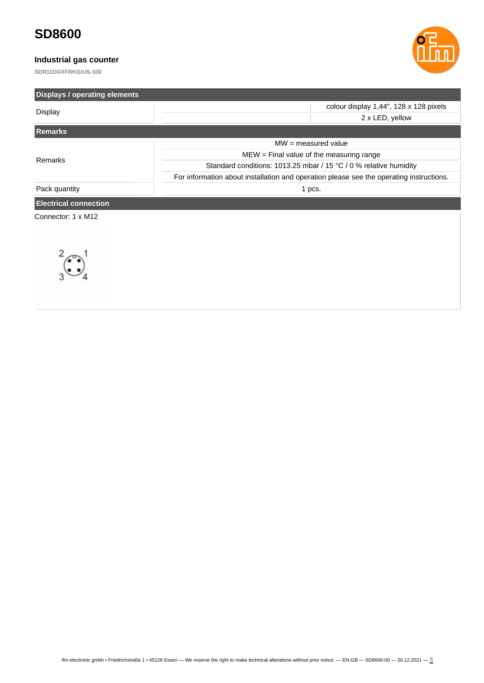### **Industrial gas counter**



| <b>Displays / operating elements</b> |                                                                   |                                                                                         |
|--------------------------------------|-------------------------------------------------------------------|-----------------------------------------------------------------------------------------|
| <b>Display</b>                       |                                                                   | colour display 1,44", 128 x 128 pixels                                                  |
|                                      |                                                                   | 2 x LED, yellow                                                                         |
| <b>Remarks</b>                       |                                                                   |                                                                                         |
|                                      | $MW = measured value$                                             |                                                                                         |
| Remarks                              | $MEW = Find$ value of the measuring range                         |                                                                                         |
|                                      | Standard conditions: 1013.25 mbar / 15 °C / 0 % relative humidity |                                                                                         |
|                                      |                                                                   | For information about installation and operation please see the operating instructions. |
| Pack quantity                        | 1 pcs.                                                            |                                                                                         |
| <b>Electrical connection</b>         |                                                                   |                                                                                         |
| Connector: 1 x M12                   |                                                                   |                                                                                         |
| $\ddot{\bullet}$                     |                                                                   |                                                                                         |